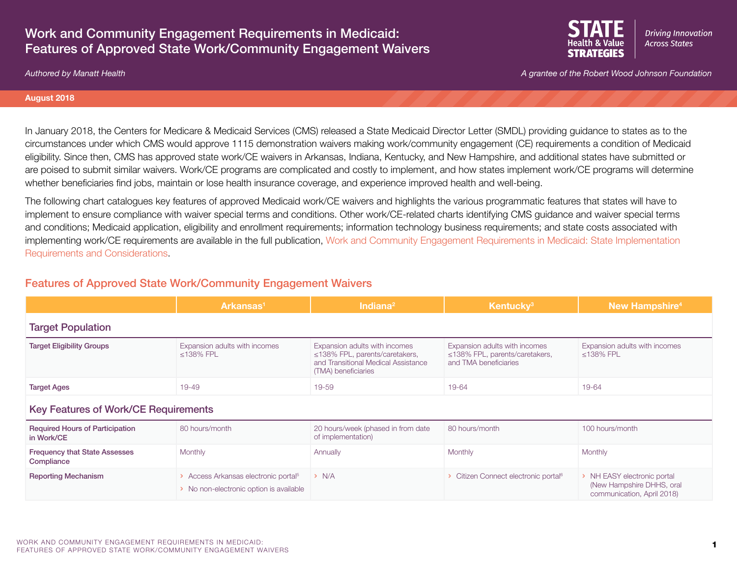## Work and Community Engagement Requirements in Medicaid: Features of Approved State Work/Community Engagement Waivers



**Driving Innovation Across States STRATEGIES** 

#### **August 2018**

In January 2018, the Centers for Medicare & Medicaid Services (CMS) released a State Medicaid Director Letter (SMDL) providing guidance to states as to the circumstances under which CMS would approve 1115 demonstration waivers making work/community engagement (CE) requirements a condition of Medicaid eligibility. Since then, CMS has approved state work/CE waivers in Arkansas, Indiana, Kentucky, and New Hampshire, and additional states have submitted or are poised to submit similar waivers. Work/CE programs are complicated and costly to implement, and how states implement work/CE programs will determine whether beneficiaries find jobs, maintain or lose health insurance coverage, and experience improved health and well-being.

The following chart catalogues key features of approved Medicaid work/CE waivers and highlights the various programmatic features that states will have to implement to ensure compliance with waiver special terms and conditions. Other work/CE-related charts identifying CMS guidance and waiver special terms and conditions; Medicaid application, eligibility and enrollment requirements; information technology business requirements; and state costs associated with implementing work/CE requirements are available in the full publication, [Work and Community Engagement Requirements in Medicaid: State Implementation](https://www.shvs.org/resource/work-and-community-engagement-requirements-in-medicaid-state-implementation-requirements-and-considerations/)  [Requirements and Considerations](https://www.shvs.org/resource/work-and-community-engagement-requirements-in-medicaid-state-implementation-requirements-and-considerations/).

## Features of Approved State Work/Community Engagement Waivers

|                                                      | Arkansas <sup>1</sup>                                                                       | Indiana <sup>2</sup>                                                                                                                | <b>Kentucky</b> <sup>3</sup>                                                                   | <b>New Hampshire<sup>4</sup></b>                                                       |  |
|------------------------------------------------------|---------------------------------------------------------------------------------------------|-------------------------------------------------------------------------------------------------------------------------------------|------------------------------------------------------------------------------------------------|----------------------------------------------------------------------------------------|--|
| <b>Target Population</b>                             |                                                                                             |                                                                                                                                     |                                                                                                |                                                                                        |  |
| <b>Target Eligibility Groups</b>                     | Expansion adults with incomes<br>$\leq$ 138% FPL                                            | Expansion adults with incomes<br>$\leq$ 138% FPL, parents/caretakers,<br>and Transitional Medical Assistance<br>(TMA) beneficiaries | Expansion adults with incomes<br>$\leq$ 138% FPL, parents/caretakers,<br>and TMA beneficiaries | Expansion adults with incomes<br>$\leq$ 138% FPL                                       |  |
| <b>Target Ages</b>                                   | 19-49                                                                                       | 19-59                                                                                                                               | 19-64                                                                                          | 19-64                                                                                  |  |
| <b>Key Features of Work/CE Requirements</b>          |                                                                                             |                                                                                                                                     |                                                                                                |                                                                                        |  |
| <b>Required Hours of Participation</b><br>in Work/CE | 80 hours/month                                                                              | 20 hours/week (phased in from date<br>of implementation)                                                                            | 80 hours/month                                                                                 | 100 hours/month                                                                        |  |
| <b>Frequency that State Assesses</b><br>Compliance   | Monthly                                                                                     | Annually                                                                                                                            | Monthly                                                                                        | Monthly                                                                                |  |
| <b>Reporting Mechanism</b>                           | > Access Arkansas electronic portal <sup>5</sup><br>> No non-electronic option is available | > N/A                                                                                                                               | > Citizen Connect electronic portal <sup>6</sup>                                               | > NH EASY electronic portal<br>(New Hampshire DHHS, oral<br>communication, April 2018) |  |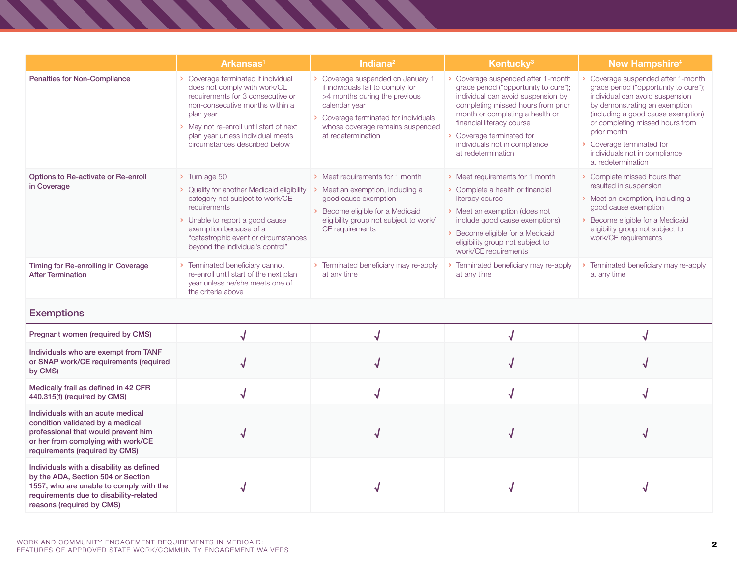|                                                                                                                                                                                                  | Arkansas <sup>1</sup>                                                                                                                                                                                                                                                     | Indiana <sup>2</sup>                                                                                                                                                                                                        | Kentucky <sup>3</sup>                                                                                                                                                                                                                                                                                   | <b>New Hampshire<sup>4</sup></b>                                                                                                                                                                                                                                                                                        |  |
|--------------------------------------------------------------------------------------------------------------------------------------------------------------------------------------------------|---------------------------------------------------------------------------------------------------------------------------------------------------------------------------------------------------------------------------------------------------------------------------|-----------------------------------------------------------------------------------------------------------------------------------------------------------------------------------------------------------------------------|---------------------------------------------------------------------------------------------------------------------------------------------------------------------------------------------------------------------------------------------------------------------------------------------------------|-------------------------------------------------------------------------------------------------------------------------------------------------------------------------------------------------------------------------------------------------------------------------------------------------------------------------|--|
| Penalties for Non-Compliance                                                                                                                                                                     | > Coverage terminated if individual<br>does not comply with work/CE<br>requirements for 3 consecutive or<br>non-consecutive months within a<br>plan year<br>> May not re-enroll until start of next<br>plan year unless individual meets<br>circumstances described below | > Coverage suspended on January 1<br>if individuals fail to comply for<br>>4 months during the previous<br>calendar year<br>> Coverage terminated for individuals<br>whose coverage remains suspended<br>at redetermination | Coverage suspended after 1-month<br>grace period ("opportunity to cure");<br>individual can avoid suspension by<br>completing missed hours from prior<br>month or completing a health or<br>financial literacy course<br>Coverage terminated for<br>individuals not in compliance<br>at redetermination | Coverage suspended after 1-month<br>grace period ("opportunity to cure");<br>individual can avoid suspension<br>by demonstrating an exemption<br>(including a good cause exemption)<br>or completing missed hours from<br>prior month<br>Coverage terminated for<br>individuals not in compliance<br>at redetermination |  |
| Options to Re-activate or Re-enroll<br>in Coverage                                                                                                                                               | > Turn age 50<br>> Qualify for another Medicaid eligibility<br>category not subject to work/CE<br>requirements<br>> Unable to report a good cause<br>exemption because of a<br>"catastrophic event or circumstances<br>beyond the individual's control"                   | > Meet requirements for 1 month<br>Meet an exemption, including a<br>good cause exemption<br>> Become eligible for a Medicaid<br>eligibility group not subject to work/<br>CE requirements                                  | > Meet requirements for 1 month<br>> Complete a health or financial<br>literacy course<br>> Meet an exemption (does not<br>include good cause exemptions)<br>> Become eligible for a Medicaid<br>eligibility group not subject to<br>work/CE requirements                                               | > Complete missed hours that<br>resulted in suspension<br>> Meet an exemption, including a<br>good cause exemption<br>> Become eligible for a Medicaid<br>eligibility group not subject to<br>work/CE requirements                                                                                                      |  |
| Timing for Re-enrolling in Coverage<br><b>After Termination</b>                                                                                                                                  | > Terminated beneficiary cannot<br>re-enroll until start of the next plan<br>year unless he/she meets one of<br>the criteria above                                                                                                                                        | > Terminated beneficiary may re-apply<br>at any time                                                                                                                                                                        | Terminated beneficiary may re-apply<br>at any time                                                                                                                                                                                                                                                      | Terminated beneficiary may re-apply<br>at any time                                                                                                                                                                                                                                                                      |  |
| <b>Exemptions</b>                                                                                                                                                                                |                                                                                                                                                                                                                                                                           |                                                                                                                                                                                                                             |                                                                                                                                                                                                                                                                                                         |                                                                                                                                                                                                                                                                                                                         |  |
| Pregnant women (required by CMS)                                                                                                                                                                 |                                                                                                                                                                                                                                                                           | J                                                                                                                                                                                                                           |                                                                                                                                                                                                                                                                                                         |                                                                                                                                                                                                                                                                                                                         |  |
| Individuals who are exempt from TANF<br>or SNAP work/CE requirements (required<br>by CMS)                                                                                                        |                                                                                                                                                                                                                                                                           |                                                                                                                                                                                                                             |                                                                                                                                                                                                                                                                                                         |                                                                                                                                                                                                                                                                                                                         |  |
| Medically frail as defined in 42 CFR<br>440.315(f) (required by CMS)                                                                                                                             |                                                                                                                                                                                                                                                                           |                                                                                                                                                                                                                             |                                                                                                                                                                                                                                                                                                         |                                                                                                                                                                                                                                                                                                                         |  |
| Individuals with an acute medical<br>condition validated by a medical<br>professional that would prevent him<br>or her from complying with work/CE<br>requirements (required by CMS)             |                                                                                                                                                                                                                                                                           |                                                                                                                                                                                                                             |                                                                                                                                                                                                                                                                                                         |                                                                                                                                                                                                                                                                                                                         |  |
| Individuals with a disability as defined<br>by the ADA, Section 504 or Section<br>1557, who are unable to comply with the<br>requirements due to disability-related<br>reasons (required by CMS) |                                                                                                                                                                                                                                                                           |                                                                                                                                                                                                                             |                                                                                                                                                                                                                                                                                                         |                                                                                                                                                                                                                                                                                                                         |  |

,,,,,,,,,,,,,,,

**Second**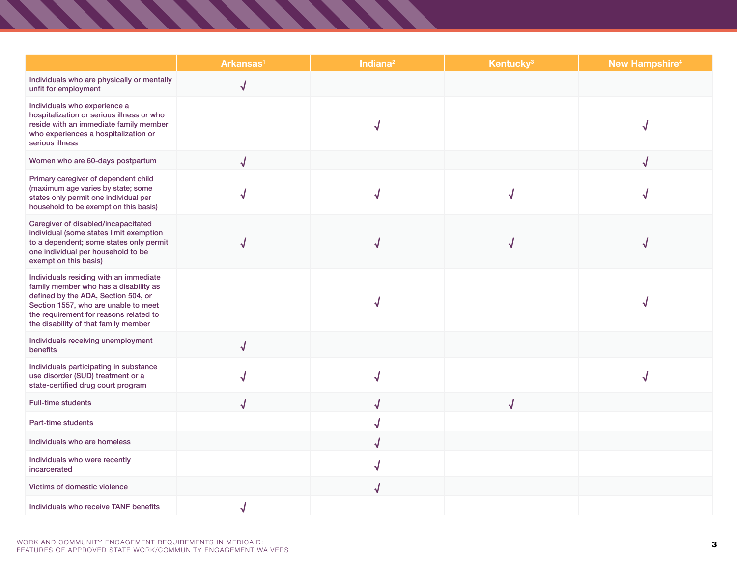|                                                                                                                                                                                                                                                  | Arkansas <sup>1</sup> | Indiana <sup>2</sup> | Kentucky <sup>3</sup>   | <b>New Hampshire<sup>4</sup></b> |
|--------------------------------------------------------------------------------------------------------------------------------------------------------------------------------------------------------------------------------------------------|-----------------------|----------------------|-------------------------|----------------------------------|
| Individuals who are physically or mentally<br>unfit for employment                                                                                                                                                                               | $\sqrt{}$             |                      |                         |                                  |
| Individuals who experience a<br>hospitalization or serious illness or who<br>reside with an immediate family member<br>who experiences a hospitalization or<br>serious illness                                                                   |                       |                      |                         |                                  |
| Women who are 60-days postpartum                                                                                                                                                                                                                 | J                     |                      |                         |                                  |
| Primary caregiver of dependent child<br>(maximum age varies by state; some<br>states only permit one individual per<br>household to be exempt on this basis)                                                                                     |                       |                      |                         |                                  |
| Caregiver of disabled/incapacitated<br>individual (some states limit exemption<br>to a dependent; some states only permit<br>one individual per household to be<br>exempt on this basis)                                                         |                       |                      |                         |                                  |
| Individuals residing with an immediate<br>family member who has a disability as<br>defined by the ADA, Section 504, or<br>Section 1557, who are unable to meet<br>the requirement for reasons related to<br>the disability of that family member |                       |                      |                         |                                  |
| Individuals receiving unemployment<br>benefits                                                                                                                                                                                                   | J                     |                      |                         |                                  |
| Individuals participating in substance<br>use disorder (SUD) treatment or a<br>state-certified drug court program                                                                                                                                |                       | √                    |                         |                                  |
| <b>Full-time students</b>                                                                                                                                                                                                                        |                       | √                    | $\overline{\mathsf{J}}$ |                                  |
| Part-time students                                                                                                                                                                                                                               |                       | √                    |                         |                                  |
| Individuals who are homeless                                                                                                                                                                                                                     |                       | √                    |                         |                                  |
| Individuals who were recently<br>incarcerated                                                                                                                                                                                                    |                       | √                    |                         |                                  |
| Victims of domestic violence                                                                                                                                                                                                                     |                       | $\bm{\mathcal{J}}$   |                         |                                  |
| Individuals who receive TANF benefits                                                                                                                                                                                                            | ٦J                    |                      |                         |                                  |

T

,,,,,,,,,,,,,,,,,,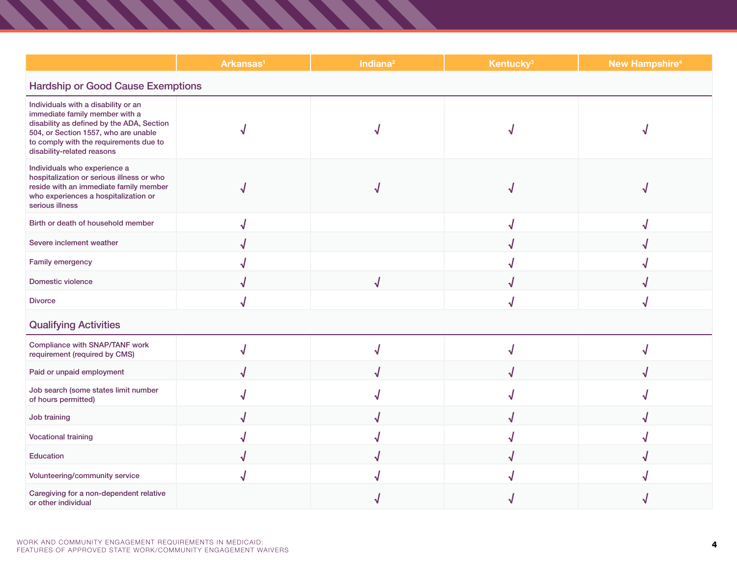|                                                                                                                                                                                                                                    | Arkansas <sup>1</sup> | Indiana <sup>2</sup> | <b>Kentucky<sup>3</sup></b> | <b>New Hampshire<sup>4</sup></b> |
|------------------------------------------------------------------------------------------------------------------------------------------------------------------------------------------------------------------------------------|-----------------------|----------------------|-----------------------------|----------------------------------|
| <b>Hardship or Good Cause Exemptions</b>                                                                                                                                                                                           |                       |                      |                             |                                  |
| Individuals with a disability or an<br>immediate family member with a<br>disability as defined by the ADA, Section<br>504, or Section 1557, who are unable<br>to comply with the requirements due to<br>disability-related reasons |                       |                      |                             |                                  |
| Individuals who experience a<br>hospitalization or serious illness or who<br>reside with an immediate family member<br>who experiences a hospitalization or<br>serious illness                                                     |                       |                      |                             |                                  |
| Birth or death of household member                                                                                                                                                                                                 |                       |                      |                             |                                  |
| Severe inclement weather                                                                                                                                                                                                           |                       |                      |                             |                                  |
| Family emergency                                                                                                                                                                                                                   |                       |                      |                             |                                  |
| <b>Domestic violence</b>                                                                                                                                                                                                           |                       | J                    |                             |                                  |
| <b>Divorce</b>                                                                                                                                                                                                                     |                       |                      |                             |                                  |
| <b>Qualifying Activities</b>                                                                                                                                                                                                       |                       |                      |                             |                                  |
| Compliance with SNAP/TANF work<br>requirement (required by CMS)                                                                                                                                                                    |                       |                      |                             |                                  |
| Paid or unpaid employment                                                                                                                                                                                                          |                       |                      |                             |                                  |
| Job search (some states limit number<br>of hours permitted)                                                                                                                                                                        |                       |                      |                             |                                  |
| Job training                                                                                                                                                                                                                       |                       |                      |                             |                                  |
| <b>Vocational training</b>                                                                                                                                                                                                         |                       |                      |                             |                                  |
| Education                                                                                                                                                                                                                          |                       |                      |                             |                                  |
| Volunteering/community service                                                                                                                                                                                                     |                       |                      |                             |                                  |
| Caregiving for a non-dependent relative<br>or other individual                                                                                                                                                                     |                       |                      |                             |                                  |

, , , , , , , , , , , , , , , , , ,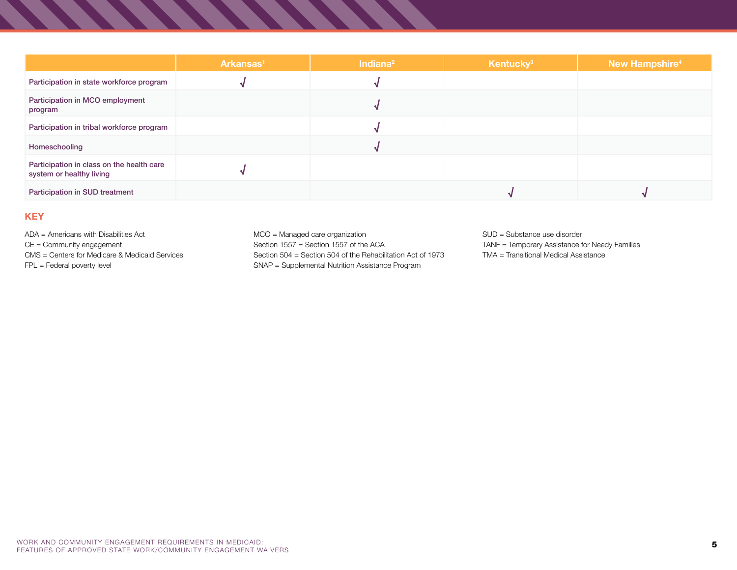|                                                                       | Arkansas <sup>1</sup> | Indiana <sup>2</sup> | Kentucky <sup>3</sup> | New Hampshire <sup>4</sup> |
|-----------------------------------------------------------------------|-----------------------|----------------------|-----------------------|----------------------------|
| Participation in state workforce program                              |                       |                      |                       |                            |
| Participation in MCO employment<br>program                            |                       |                      |                       |                            |
| Participation in tribal workforce program                             |                       |                      |                       |                            |
| Homeschooling                                                         |                       |                      |                       |                            |
| Participation in class on the health care<br>system or healthy living |                       |                      |                       |                            |
| Participation in SUD treatment                                        |                       |                      |                       |                            |

## **KEY**

ADA = Americans with Disabilities Act CE = Community engagement CMS = Centers for Medicare & Medicaid Services FPL = Federal poverty level

MCO = Managed care organization Section 1557 = Section 1557 of the ACASection 504 = Section 504 of the Rehabilitation Act of 1973SNAP = Supplemental Nutrition Assistance Program

SUD = Substance use disorder TANF = Temporary Assistance for Needy Families

TMA = Transitional Medical Assistance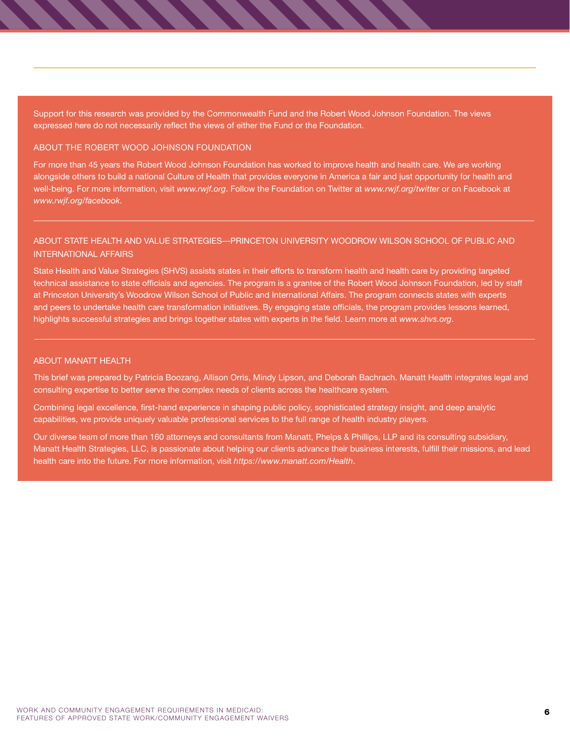Support for this research was provided by the Commonwealth Fund and the Robert Wood Johnson Foundation. The views expressed here do not necessarily reflect the views of either the Fund or the Foundation.

#### ABOUT THE ROBERT WOOD JOHNSON FOUNDATION

For more than 45 years the Robert Wood Johnson Foundation has worked to improve health and health care. We are working alongside others to build a national Culture of Health that provides everyone in America a fair and just opportunity for health and well-being. For more information, visit *[www.rwjf.org](http://www.rwjf.org)*. Follow the Foundation on Twitter at *[www.rwjf.org/twitter](http://www.rwjf.org/twitter)* or on Facebook at *[www.rwjf.org/facebook](http://www.rwjf.org/facebook)*.

### ABOUT STATE HEALTH AND VALUE STRATEGIES—PRINCETON UNIVERSITY WOODROW WILSON SCHOOL OF PUBLIC AND INTERNATIONAL AFFAIRS

State Health and Value Strategies (SHVS) assists states in their efforts to transform health and health care by providing targeted technical assistance to state officials and agencies. The program is a grantee of the Robert Wood Johnson Foundation, led by staff at Princeton University's Woodrow Wilson School of Public and International Affairs. The program connects states with experts and peers to undertake health care transformation initiatives. By engaging state officials, the program provides lessons learned, highlights successful strategies and brings together states with experts in the field. Learn more at *[www.shvs.org](http://www.shvs.org)*.

#### ABOUT MANATT HEALTH

This brief was prepared by Patricia Boozang, Allison Orris, Mindy Lipson, and Deborah Bachrach. Manatt Health integrates legal and consulting expertise to better serve the complex needs of clients across the healthcare system.

Combining legal excellence, first-hand experience in shaping public policy, sophisticated strategy insight, and deep analytic capabilities, we provide uniquely valuable professional services to the full range of health industry players.

Our diverse team of more than 160 attorneys and consultants from Manatt, Phelps & Phillips, LLP and its consulting subsidiary, Manatt Health Strategies, LLC, is passionate about helping our clients advance their business interests, fulfill their missions, and lead health care into the future. For more information, visit *<https://www.manatt.com/Health>*.